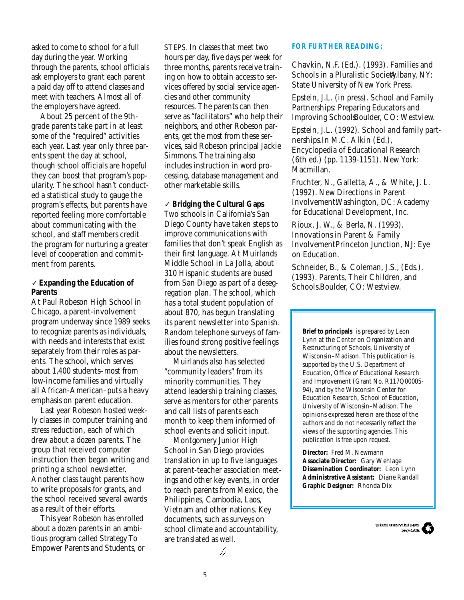asked to come to school for a full day during the year. Working through the parents, school officials ask employers to grant each parent a paid day off to attend classes and meet with teachers. Almost all of the employers have agreed.

About 25 percent of the 9thgrade parents take part in at least some of the "required" activities each year. Last year only three parents spent the day at school, though school officials are hopeful they can boost that program's popularity. The school hasn't conducted a statistical study to gauge the program's effects, but parents have reported feeling more comfortable about communicating with the school, and staff members credit the program for nurturing a greater level of cooperation and commitment from parents.

### ✓ **Expanding the Education of Parents**

At Paul Robeson High School in Chicago, a parent-involvement p rogram underway since 1989 seeks to recognize parents as individuals, with needs and interests that exist separately from their roles as parents. The school, which serves about 1,400 students-most from low-income families and virtually all African-American–puts a heavy emphasis on parent education.

Last year Robeson hosted weekly classes in computer training and stress reduction, each of which drew about a dozen parents. The group that received computer instruction then began writing and printing a school newsletter. Another class taught parents how to write proposals for grants, and the school received several awards as a result of their efforts.

This year Robeson has enrolled about a dozen parents in an ambitious program called Strategy To Empower Parents and Students, or STEPS. In classes that meet two hours per day, five days per week for three months, parents receive training on how to obtain access to services offered by social service agencies and other community resources. The parents can then serve as "facilitators" who help their neighbors, and other Robeson parents, get the most from these services, said Robeson principal Jackie Simmons. The training also includes instruction in word processing, database management and other marketable skills.

✓ **Bridging the Cultural Gaps** Two schools in California's San Diego County have taken steps to improve communications with families that don't speak English as their first language. At Muirlands Middle School in La Jolla, about 310 Hispanic students are bused from San Diego as part of a desegregation plan. The school, which has a total student population of about 870, has begun translating its parent newsletter into Spanish. Random telephone surveys of families found strong positive feelings about the newsletters.

Muirlands also has selected "community leaders" from its minority communities. They attend leadership training classes, serve as mentors for other parents and call lists of parents each month to keep them informed of school events and solicit input.

Montgomery Junior High School in San Diego provides translation in up to five languages at parent-teacher association meetings and other key events, in order to reach parents from Mexico, the Philippines, Cambodia, Laos, Vietnam and other nations. Key documents, such as surveys on school climate and accountability, are translated as well.

#### **FOR FURTHER READING:**

Chavkin, N.F. (Ed.). (1993). *Families and Schools in a Pluralistic Societ* Albany, NY: State University of New York Press.

Epstein, J.L. (in press). *School and Family Partnerships: Preparing Educators and Improving SchoolsBoulder, CO: Westview.* 

Epstein, J.L. (1992). *School and family partnerships.*In M.C. Alkin (Ed.), Encyclopedia of Educational Research (6th ed.) (pp. 1139-1151). New York: Macmillan.

Fruchter, N., Galletta, A., & White, J. L. (1992). *New Directions in Parent Involvement.* Washington, DC: Academy for Educational Development, Inc.

Rioux, J. W., & Berla, N. (1993). *Innovations in Parent & Family Involvement Princeton Junction, NJ: Eye* on Education.

Schneider, B., & Coleman, J.S., (Eds.). (1993). *Parents, Their Children, and Schools.*Boulder, CO: Westview.

**Brief to principals** is prepared by Leon Lynn at the Center on Organization and Restructuring of Schools, University of Wisconsin–Madison. This publication is supported by the U.S. Department of Education, Office of Educational Research and Improvement (Grant No. R117Q00005- 94), and by the Wisconsin Center for Education Research, School of Education, University of Wisconsin–Madison. The opinions expressed herein are those of the authors and do not necessarily reflect the views of the supporting agencies. This publication is free upon request.

**Director:** Fred M. Newmann **Associate Director:** Gary Wehlage **Dissemination Coordinator:** Leon Lynn **Administrative Assistant:** Diane Randall **Graphic Designer:** Rhonda Dix

ħ

5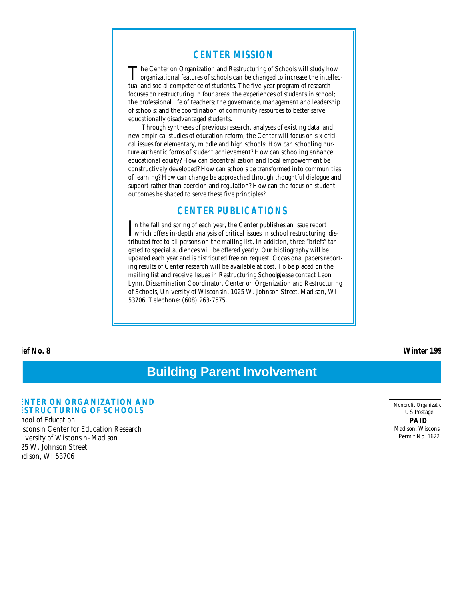### **CENTER MISSION**

The Center on Organization and Restructuring of Schools will study how organizational features of schools can be changed to increase the intellec-The Center on Organization and Restructuring of Schools will study how tual and social competence of students. The five-year program of research focuses on restructuring in four areas: the experiences of students in school; the professional life of teachers; the governance, management and leadership of schools; and the coordination of community resources to better serve educationally disadvantaged students.

Through syntheses of previous research, analyses of existing data, and new empirical studies of education reform, the Center will focus on six critical issues for elementary, middle and high schools: How can schooling nurture authentic forms of student achievement? How can schooling enhance educational equity? How can decentralization and local empowerment be constructively developed? How can schools be transformed into communities of learning? How can change be approached through thoughtful dialogue and support rather than coercion and regulation? How can the focus on student outcomes be shaped to serve these five principles?

### **CENTER PUBLICATIONS**

In the fall and spring of each year, the Center publishes an issue report which offers in-depth analysis of critical issues in school restructuring, dis-In the fall and spring of each year, the Center publishes an issue report tributed free to all persons on the mailing list. In addition, three "briefs" targeted to special audiences will be offered yearly. Our bibliography will be updated each year and is distributed free on request. Occasional papers reporting results of Center research will be available at cost. To be placed on the mailing list and receive Issues in Restructuring Schoolplease contact Leon Lynn, Dissemination Coordinator, Center on Organization and Restructuring of Schools, University of Wisconsin, 1025 W. Johnson Street, Madison, WI 53706. Telephone: (608) 263-7575.

**Brief No. 8 Winter 1994**

# **Building Parent Involvement**

#### **ENTER ON ORGANIZATION AND ESTRUCTURING OF SCHOOLS**

nool of Education sconsin Center for Education Research iversity of Wisconsin-Madison 025 W. Johnson Street dison, WI 53706

Nonprofit Organizatic US Postage **PAID** Madison, Wisconsi Permit No. 1622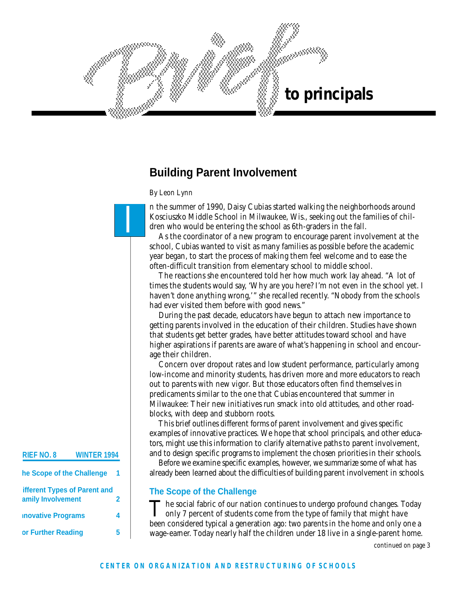

# **Building Parent Involvement**

*By Leon Lynn*

I

n the summer of 1990, Daisy Cubias started walking the neighborhoods around Kosciuszko Middle School in Milwaukee, Wis., seeking out the families of children who would be entering the school as 6th-graders in the fall.

As the coordinator of a new program to encourage parent involvement at the school, Cubias wanted to visit as many families as possible before the academic year began, to start the process of making them feel welcome and to ease the often-difficult transition from elementary school to middle school.

The reactions she encountered told her how much work lay ahead. "A lot of times the students would say, 'Why are you here? I'm not even in the school yet. I haven't done anything wrong,'" she recalled recently. "Nobody from the schools had ever visited them before with good news."

During the past decade, educators have begun to attach new importance to getting parents involved in the education of their children. Studies have shown that students get better grades, have better attitudes toward school and have higher aspirations if parents are aware of what's happening in school and encourage their children.

Concern over dropout rates and low student performance, particularly among low-income and minority students, has driven more and more educators to reach out to parents with new vigor. But those educators often find themselves in predicaments similar to the one that Cubias encountered that summer in Milwaukee: Their new initiatives run smack into old attitudes, and other roadblocks, with deep and stubborn roots.

This brief outlines different forms of parent involvement and gives specific examples of innovative practices. We hope that school principals, and other educators, might use this information to clarify alternative paths to parent involvement, and to design specific programs to implement the chosen priorities in their schools.

Before we examine specific examples, however, we summarize some of what has already been learned about the difficulties of building parent involvement in schools.

## **The Scope of the Challenge**

The social fabric of our nation continues to undergo profound changes. To only 7 percent of students come from the type of family that might have The social fabric of our nation continues to undergo profound changes. Today been considered typical a generation ago: two parents in the home and only one a wage-eamer. Today nearly half the children under 18 live in a single-parent home.

*continued on page 3*

# **RIEF NO. 8 WINTER 1994**

| he Scope of the Challenge                         |  |
|---------------------------------------------------|--|
| ifferent Types of Parent and<br>amily Involvement |  |
| <b>novative Programs</b>                          |  |
| or Further Reading                                |  |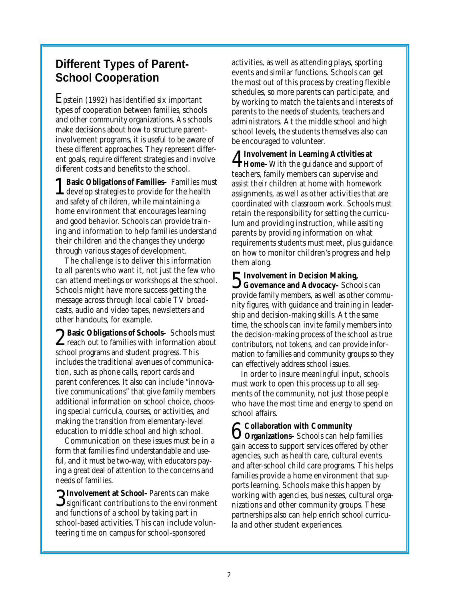# **Different Types of Parent-School Cooperation**

Epstein (1992) has identified six important types of cooperation between families, schools and other community organizations. As schools make decisions about how to structure parentinvolvement programs, it is useful to be aware of these different approaches. They represent different goals, require different strategies and involve different costs and benefits to the school.

1 **Basic Obligations of Families–** Families must develop strategies to provide for the health and safety of children, while maintaining a home environment that encourages learning and good behavior. Schools can provide training and information to help families understand their children and the changes they undergo through various stages of development.

The challenge is to deliver this information to all parents who want it, not just the few who can attend meetings or workshops at the school. Schools might have more success getting the message across through local cable TV broadcasts, audio and video tapes, newsletters and other handouts, for example.

2 reach out to families with information about ◯ Basic Obligations of Schools– Schools must school programs and student progress. This includes the traditional avenues of communication, such as phone calls, report cards and parent conferences. It also can include "innovative communications" that give family members additional information on school choice, choosing special curricula, courses, or activities, and making the transition from elementary-level education to middle school and high school.

Communication on these issues must be in a form that families find understandable and useful, and it must be two-way, with educators paying a great deal of attention to the concerns and needs of families.

3 **Involvement at School–**Parents can make  $\mathbf{\mathcal{S}}$  significant contributions to the environment and functions of a school by taking part in school-based activities. This can include volunteering time on campus for school-sponsored

activities, as well as attending plays, sporting events and similar functions. Schools can get the most out of this process by creating flexible schedules, so more parents can participate, and by working to match the talents and interests of parents to the needs of students, teachers and administrators. At the middle school and high school levels, the students themselves also can be encouraged to volunteer.

4 **Home–**With the guidance and support of **Involvement in Learning Activities at** teachers, family members can supervise and assist their children at home with homework assignments, as well as other activities that are coordinated with classroom work. Schools must retain the responsibility for setting the curriculum and providing instruction, while assiting parents by providing information on what requirements students must meet, plus guidance on how to monitor children's progress and help them along.

5 **Involvement in Decision Making, Governance and Advocacy–** Schools can provide family members, as well as other community figures, with guidance and training in leadership and decision-making skills. At the same time, the schools can invite family members into the decision-making process of the school as true contributors, not tokens, and can provide information to families and community groups so they can effectively address school issues.

In order to insure meaningful input, schools must work to open this process up to all segments of the community, not just those people who have the most time and energy to spend on school affairs.

6 **Organizations–** Schools can help families **Collaboration with Community** gain access to support services offered by other agencies, such as health care, cultural events and after-school child care programs. This helps families provide a home environment that supports learning. Schools make this happen by working with agencies, businesses, cultural organizations and other community groups. These partnerships also can help enrich school curricula and other student experiences.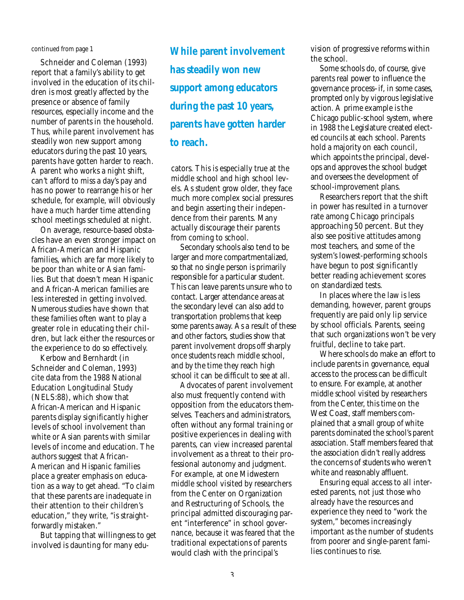#### *continued from page 1*

Schneider and Coleman (1993) report that a family's ability to get involved in the education of its children is most greatly affected by the presence or absence of family resources, especially income and the number of parents in the household. Thus, while parent involvement has steadily won new support among educators during the past 10 years, parents have gotten harder to reach. A parent who works a night shift, can't afford to miss a day's pay and has no power to rearrange his or her schedule, for example, will obviously have a much harder time attending school meetings scheduled at night.

On average, resource-based obstacles have an even stronger impact on African-American and Hispanic families, which are far more likely to be poor than white or Asian families. But that doesn't mean Hispanic and African-American families are less interested in getting involved. Numerous studies have shown that these families often want to play a greater role in educating their children, but lack either the resources or the experience to do so effectively.

Kerbow and Bernhardt (in Schneider and Coleman, 1993) cite data from the 1988 National Education Longitudinal Study (NELS:88), which show that African-American and Hispanic parents display significantly higher levels of school involvement than white or Asian parents with similar levels of income and education. The authors suggest that African-American and Hispanic families place a greater emphasis on education as a way to get ahead. "To claim that these parents are inadequate in their attention to their children's education," they write, "is straightforwardly mistaken."

But tapping that willingness to get involved is daunting for many edu-

*While parent involvement has steadily won new support among educators during the past 10 years, parents have gotten harder to reach.*

cators. This is especially true at the middle school and high school levels. As student grow older, they face much more complex social pressures and begin asserting their independence from their parents. Many actually discourage their parents from coming to school.

Secondary schools also tend to be larger and more compartmentalized, so that no single person is primarily responsible for a particular student. This can leave parents unsure who to contact. Larger attendance areas at the secondary level can also add to transportation problems that keep some parents away. As a result of these and other factors, studies show that parent involvement drops off sharply once students reach middle school, and by the time they reach high school it can be difficult to see at all.

Advocates of parent involvement also must frequently contend with opposition from the educators themselves. Teachers and administrators often without any formal training or positive experiences in dealing with parents, can view increased parental involvement as a threat to their professional autonomy and judgment. For example, at one Midwestern middle school visited by researchers from the Center on Organization and Restructuring of Schools, the principal admitted discouraging parent "interference" in school governance, because it was feared that the traditional expectations of parents would clash with the principal's

vision of progressive reforms within the school.

Some schools do, of course, give parents real power to influence the governance process–if, in some cases, prompted only by vigorous legislative action. A prime example is the Chicago public-school system, where in 1988 the Legislature created elected councils at each school. Parents hold a majority on each council, which appoints the principal, develops and approves the school budget and oversees the development of school-improvement plans.

Researchers report that the shift in power has resulted in a turnover rate among Chicago principals approaching 50 percent. But they also see positive attitudes among most teachers, and some of the system's lowest-performing schools have begun to post significantly better reading achievement scores on standardized tests.

In places where the law is less demanding, however, parent groups frequently are paid only lip service by school officials. Parents, seeing that such organizations won't be very fruitful, decline to take part.

Where schools do make an effort to include parents in governance, equal access to the process can be difficult to ensure. For example, at another middle school visited by researchers from the Center, this time on the West Coast, staff members complained that a small group of white parents dominated the school's parent association. Staff members feared that the association didn't really address the concerns of students who weren't white and reasonably affluent.

Ensuring equal access to all interested parents, not just those who already have the resources and experience they need to "work the system," becomes increasingly important as the number of students from poorer and single-parent families continues to rise.